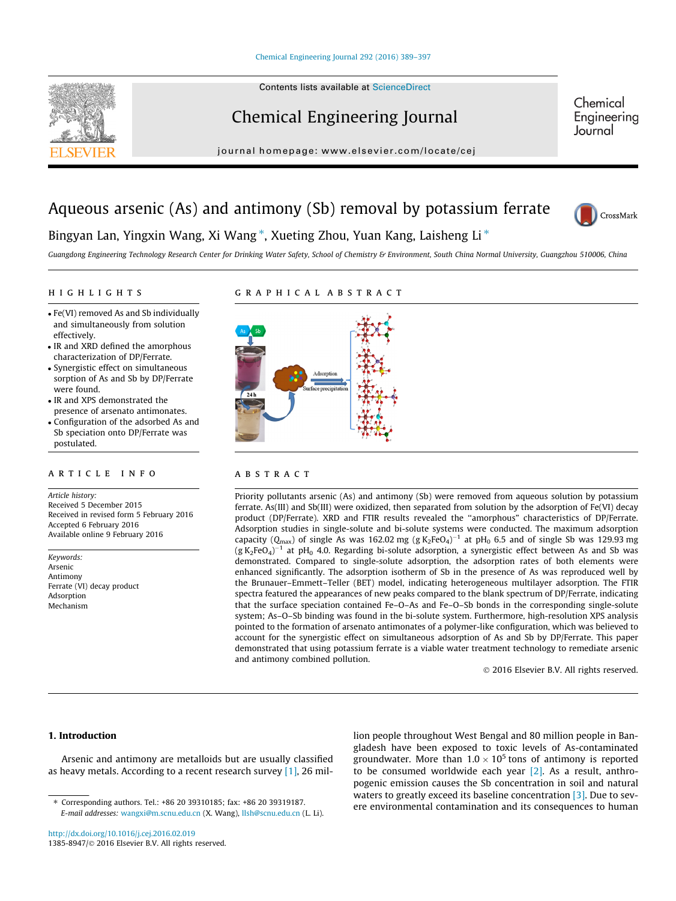#### [Chemical Engineering Journal 292 \(2016\) 389–397](http://dx.doi.org/10.1016/j.cej.2016.02.019)



# Chemical Engineering Journal

Chemical Engineering Journal

#### journal homepage: [www.elsevier.com/locate/cej](http://www.elsevier.com/locate/cej)

# Aqueous arsenic (As) and antimony (Sb) removal by potassium ferrate



## Bingyan Lan, Yingxin Wang, Xi Wang<sup>\*</sup>, Xueting Zhou, Yuan Kang, Laisheng Li<sup>\*</sup>

Guangdong Engineering Technology Research Center for Drinking Water Safety, School of Chemistry & Environment, South China Normal University, Guangzhou 510006, China

#### HIGHLIGHTS highlights are the second control of the second control of the second control of the second control of the second control of the second control of the second control of the second control of the second control of the secon

- Fe(VI) removed As and Sb individually and simultaneously from solution effectively.
- IR and XRD defined the amorphous characterization of DP/Ferrate.
- Synergistic effect on simultaneous sorption of As and Sb by DP/Ferrate were found.
- IR and XPS demonstrated the presence of arsenato antimonates.
- Configuration of the adsorbed As and Sb speciation onto DP/Ferrate was postulated.

#### article info

Article history: Received 5 December 2015 Received in revised form 5 February 2016 Accepted 6 February 2016 Available online 9 February 2016

Keywords: Arsenic Antimony Ferrate (VI) decay product Adsorption Mechanism

#### GRAPHICAL ABSTRACT graphical abstracts and abstracts abstract abstracts abstracts abstract abstracts abstracts



Priority pollutants arsenic (As) and antimony (Sb) were removed from aqueous solution by potassium ferrate. As(III) and Sb(III) were oxidized, then separated from solution by the adsorption of Fe(VI) decay product (DP/Ferrate). XRD and FTIR results revealed the ''amorphous" characteristics of DP/Ferrate. Adsorption studies in single-solute and bi-solute systems were conducted. The maximum adsorption capacity ( $Q_{\text{max}}$ ) of single As was 162.02 mg (g K<sub>2</sub>FeO<sub>4</sub>)<sup>-1</sup> at pH<sub>0</sub> 6.5 and of single Sb was 129.93 mg  $(g K_2FeO_4)^{-1}$ at pH $_0$  4.0. Regarding bi-solute adsorption, a synergistic effect between As and Sb was demonstrated. Compared to single-solute adsorption, the adsorption rates of both elements were enhanced significantly. The adsorption isotherm of Sb in the presence of As was reproduced well by the Brunauer–Emmett–Teller (BET) model, indicating heterogeneous multilayer adsorption. The FTIR spectra featured the appearances of new peaks compared to the blank spectrum of DP/Ferrate, indicating that the surface speciation contained Fe–O–As and Fe–O–Sb bonds in the corresponding single-solute system; As–O–Sb binding was found in the bi-solute system. Furthermore, high-resolution XPS analysis pointed to the formation of arsenato antimonates of a polymer-like configuration, which was believed to account for the synergistic effect on simultaneous adsorption of As and Sb by DP/Ferrate. This paper demonstrated that using potassium ferrate is a viable water treatment technology to remediate arsenic and antimony combined pollution.

2016 Elsevier B.V. All rights reserved.

### 1. Introduction

Arsenic and antimony are metalloids but are usually classified as heavy metals. According to a recent research survey [\[1\],](#page-7-0) 26 million people throughout West Bengal and 80 million people in Bangladesh have been exposed to toxic levels of As-contaminated groundwater. More than  $1.0 \times 10^5$  tons of antimony is reported to be consumed worldwide each year  $[2]$ . As a result, anthropogenic emission causes the Sb concentration in soil and natural waters to greatly exceed its baseline concentration [\[3\].](#page-7-0) Due to severe environmental contamination and its consequences to human

<sup>⇑</sup> Corresponding authors. Tel.: +86 20 39310185; fax: +86 20 39319187. E-mail addresses: [wangxi@m.scnu.edu.cn](mailto:wangxi@m.scnu.edu.cn) (X. Wang), [llsh@scnu.edu.cn](mailto:llsh@scnu.edu.cn) (L. Li).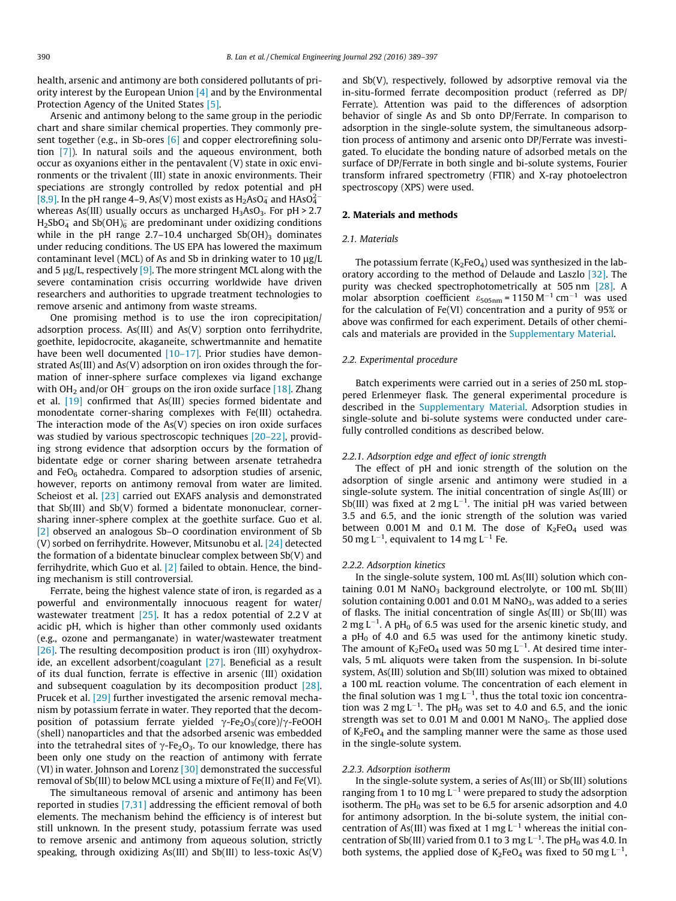health, arsenic and antimony are both considered pollutants of priority interest by the European Union [\[4\]](#page-7-0) and by the Environmental Protection Agency of the United States [\[5\]](#page-7-0).

Arsenic and antimony belong to the same group in the periodic chart and share similar chemical properties. They commonly present together (e.g., in Sb-ores  $[6]$  and copper electrorefining solution [\[7\]](#page-7-0)). In natural soils and the aqueous environment, both occur as oxyanions either in the pentavalent (V) state in oxic environments or the trivalent (III) state in anoxic environments. Their speciations are strongly controlled by redox potential and pH [\[8,9\]](#page-7-0). In the pH range 4–9, As(V) most exists as  $H_2$ AsO<sub>4</sub><sup>-</sup> and HAsO<sub>4</sub><sup>-</sup> whereas As(III) usually occurs as uncharged  $H_3AsO_3$ . For  $pH > 2.7$ H2SbO4 and Sb(OH) $_6^-$  are predominant under oxidizing conditions while in the pH range  $2.7-10.4$  uncharged  $Sb(OH)_3$  dominates under reducing conditions. The US EPA has lowered the maximum contaminant level (MCL) of As and Sb in drinking water to  $10 \mu g/L$ and 5  $\mu$ g/L, respectively [\[9\].](#page-7-0) The more stringent MCL along with the severe contamination crisis occurring worldwide have driven researchers and authorities to upgrade treatment technologies to remove arsenic and antimony from waste streams.

One promising method is to use the iron coprecipitation/ adsorption process. As(III) and As(V) sorption onto ferrihydrite, goethite, lepidocrocite, akaganeite, schwertmannite and hematite have been well documented [\[10–17\].](#page-7-0) Prior studies have demonstrated As(III) and As(V) adsorption on iron oxides through the formation of inner-sphere surface complexes via ligand exchange with OH<sub>2</sub> and/or OH<sup>-</sup> groups on the iron oxide surface [\[18\]](#page-7-0). Zhang et al. [\[19\]](#page-7-0) confirmed that As(III) species formed bidentate and monodentate corner-sharing complexes with Fe(III) octahedra. The interaction mode of the As(V) species on iron oxide surfaces was studied by various spectroscopic techniques [\[20–22\]](#page-7-0), providing strong evidence that adsorption occurs by the formation of bidentate edge or corner sharing between arsenate tetrahedra and FeO $_6$  octahedra. Compared to adsorption studies of arsenic, however, reports on antimony removal from water are limited. Scheiost et al. [\[23\]](#page-7-0) carried out EXAFS analysis and demonstrated that Sb(III) and Sb(V) formed a bidentate mononuclear, cornersharing inner-sphere complex at the goethite surface. Guo et al. [\[2\]](#page-7-0) observed an analogous Sb–O coordination environment of Sb (V) sorbed on ferrihydrite. However, Mitsunobu et al. [\[24\]](#page-7-0) detected the formation of a bidentate binuclear complex between Sb(V) and ferrihydrite, which Guo et al. [\[2\]](#page-7-0) failed to obtain. Hence, the binding mechanism is still controversial.

Ferrate, being the highest valence state of iron, is regarded as a powerful and environmentally innocuous reagent for water/ wastewater treatment  $[25]$ . It has a redox potential of 2.2 V at acidic pH, which is higher than other commonly used oxidants (e.g., ozone and permanganate) in water/wastewater treatment [\[26\]](#page-7-0). The resulting decomposition product is iron (III) oxyhydroxide, an excellent adsorbent/coagulant [\[27\].](#page-7-0) Beneficial as a result of its dual function, ferrate is effective in arsenic (III) oxidation and subsequent coagulation by its decomposition product [\[28\].](#page-7-0) Prucek et al. [\[29\]](#page-7-0) further investigated the arsenic removal mechanism by potassium ferrate in water. They reported that the decomposition of potassium ferrate yielded  $\gamma$ -Fe<sub>2</sub>O<sub>3</sub>(core)/ $\gamma$ -FeOOH (shell) nanoparticles and that the adsorbed arsenic was embedded into the tetrahedral sites of  $\gamma$ -Fe<sub>2</sub>O<sub>3</sub>. To our knowledge, there has been only one study on the reaction of antimony with ferrate (VI) in water. Johnson and Lorenz [\[30\]](#page-7-0) demonstrated the successful removal of Sb(III) to below MCL using a mixture of Fe(II) and Fe(VI).

The simultaneous removal of arsenic and antimony has been reported in studies [\[7,31\]](#page-7-0) addressing the efficient removal of both elements. The mechanism behind the efficiency is of interest but still unknown. In the present study, potassium ferrate was used to remove arsenic and antimony from aqueous solution, strictly speaking, through oxidizing As(III) and Sb(III) to less-toxic As(V)

and Sb(V), respectively, followed by adsorptive removal via the in-situ-formed ferrate decomposition product (referred as DP/ Ferrate). Attention was paid to the differences of adsorption behavior of single As and Sb onto DP/Ferrate. In comparison to adsorption in the single-solute system, the simultaneous adsorption process of antimony and arsenic onto DP/Ferrate was investigated. To elucidate the bonding nature of adsorbed metals on the surface of DP/Ferrate in both single and bi-solute systems, Fourier transform infrared spectrometry (FTIR) and X-ray photoelectron spectroscopy (XPS) were used.

#### 2. Materials and methods

#### 2.1. Materials

The potassium ferrate ( $K_2FeO_4$ ) used was synthesized in the laboratory according to the method of Delaude and Laszlo [\[32\].](#page-7-0) The purity was checked spectrophotometrically at 505 nm [\[28\]](#page-7-0). A molar absorption coefficient  $\varepsilon_{505nm}$  = 1150 M<sup>-1</sup> cm<sup>-1</sup> was used for the calculation of Fe(VI) concentration and a purity of 95% or above was confirmed for each experiment. Details of other chemicals and materials are provided in the Supplementary Material.

#### 2.2. Experimental procedure

Batch experiments were carried out in a series of 250 mL stoppered Erlenmeyer flask. The general experimental procedure is described in the Supplementary Material. Adsorption studies in single-solute and bi-solute systems were conducted under carefully controlled conditions as described below.

#### 2.2.1. Adsorption edge and effect of ionic strength

The effect of pH and ionic strength of the solution on the adsorption of single arsenic and antimony were studied in a single-solute system. The initial concentration of single As(III) or Sb(III) was fixed at 2 mg  $L^{-1}$ . The initial pH was varied between 3.5 and 6.5, and the ionic strength of the solution was varied between  $0.001$  M and  $0.1$  M. The dose of  $K_2FeO_4$  used was 50 mg L<sup>-1</sup>, equivalent to 14 mg L<sup>-1</sup> Fe.

#### 2.2.2. Adsorption kinetics

In the single-solute system, 100 mL As(III) solution which containing  $0.01$  M NaNO<sub>3</sub> background electrolyte, or  $100$  mL Sb(III) solution containing  $0.001$  and  $0.01$  M NaNO<sub>3</sub>, was added to a series of flasks. The initial concentration of single As(III) or Sb(III) was  $2$  mg L<sup>-1</sup>. A pH<sub>0</sub> of 6.5 was used for the arsenic kinetic study, and a  $pH_0$  of 4.0 and 6.5 was used for the antimony kinetic study. The amount of  $K_2FeO_4$  used was 50 mg L<sup>-1</sup>. At desired time intervals, 5 mL aliquots were taken from the suspension. In bi-solute system, As(III) solution and Sb(III) solution was mixed to obtained a 100 mL reaction volume. The concentration of each element in the final solution was 1 mg  $L^{-1}$ , thus the total toxic ion concentration was 2 mg  $L^{-1}$ . The pH<sub>0</sub> was set to 4.0 and 6.5, and the ionic strength was set to 0.01 M and 0.001 M NaNO<sub>3</sub>. The applied dose of  $K_2FeO_4$  and the sampling manner were the same as those used in the single-solute system.

#### 2.2.3. Adsorption isotherm

In the single-solute system, a series of As(III) or Sb(III) solutions ranging from 1 to 10 mg  $L^{-1}$  were prepared to study the adsorption isotherm. The  $pH_0$  was set to be 6.5 for arsenic adsorption and 4.0 for antimony adsorption. In the bi-solute system, the initial concentration of As(III) was fixed at 1 mg  $L^{-1}$  whereas the initial concentration of Sb(III) varied from 0.1 to 3 mg  $L^{-1}$ . The pH<sub>0</sub> was 4.0. In both systems, the applied dose of  $K_2FeO_4$  was fixed to 50 mg L<sup>-1</sup>,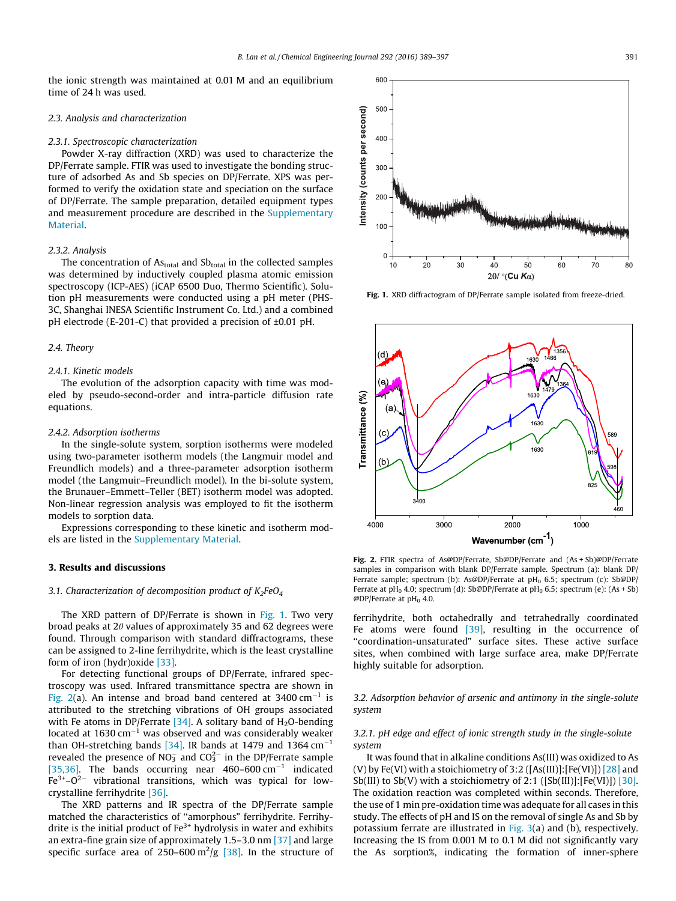<span id="page-2-0"></span>the ionic strength was maintained at 0.01 M and an equilibrium time of 24 h was used.

#### 2.3. Analysis and characterization

#### 2.3.1. Spectroscopic characterization

Powder X-ray diffraction (XRD) was used to characterize the DP/Ferrate sample. FTIR was used to investigate the bonding structure of adsorbed As and Sb species on DP/Ferrate. XPS was performed to verify the oxidation state and speciation on the surface of DP/Ferrate. The sample preparation, detailed equipment types and measurement procedure are described in the Supplementary Material.

#### 2.3.2. Analysis

The concentration of  $As<sub>total</sub>$  and  $Sb<sub>total</sub>$  in the collected samples was determined by inductively coupled plasma atomic emission spectroscopy (ICP-AES) (iCAP 6500 Duo, Thermo Scientific). Solution pH measurements were conducted using a pH meter (PHS-3C, Shanghai INESA Scientific Instrument Co. Ltd.) and a combined pH electrode (E-201-C) that provided a precision of ±0.01 pH.

#### 2.4. Theory

#### 2.4.1. Kinetic models

The evolution of the adsorption capacity with time was modeled by pseudo-second-order and intra-particle diffusion rate equations.

#### 2.4.2. Adsorption isotherms

In the single-solute system, sorption isotherms were modeled using two-parameter isotherm models (the Langmuir model and Freundlich models) and a three-parameter adsorption isotherm model (the Langmuir–Freundlich model). In the bi-solute system, the Brunauer–Emmett–Teller (BET) isotherm model was adopted. Non-linear regression analysis was employed to fit the isotherm models to sorption data.

Expressions corresponding to these kinetic and isotherm models are listed in the Supplementary Material.

#### 3. Results and discussions

#### 3.1. Characterization of decomposition product of  $K_2FeO_4$

The XRD pattern of DP/Ferrate is shown in Fig. 1. Two very broad peaks at  $2\theta$  values of approximately 35 and 62 degrees were found. Through comparison with standard diffractograms, these can be assigned to 2-line ferrihydrite, which is the least crystalline form of iron (hydr)oxide [\[33\].](#page-7-0)

For detecting functional groups of DP/Ferrate, infrared spectroscopy was used. Infrared transmittance spectra are shown in Fig. 2(a). An intense and broad band centered at 3400  $cm^{-1}$  is attributed to the stretching vibrations of OH groups associated with Fe atoms in DP/Ferrate  $[34]$ . A solitary band of H<sub>2</sub>O-bending located at  $1630 \text{ cm}^{-1}$  was observed and was considerably weaker than OH-stretching bands [\[34\].](#page-7-0) IR bands at 1479 and 1364  $cm^{-1}$ revealed the presence of NO $_3^-$  and CO $_3^{2-}$  in the DP/Ferrate sample [\[35,36\]](#page-7-0). The bands occurring near  $460-600 \text{ cm}^{-1}$  indicated  $Fe<sup>3+</sup>-O<sup>2-</sup>$  vibrational transitions, which was typical for lowcrystalline ferrihydrite [\[36\]](#page-7-0).

The XRD patterns and IR spectra of the DP/Ferrate sample matched the characteristics of ''amorphous" ferrihydrite. Ferrihydrite is the initial product of  $Fe^{3+}$  hydrolysis in water and exhibits an extra-fine grain size of approximately 1.5–3.0 nm [\[37\]](#page-7-0) and large specific surface area of 250–600  $\mathrm{m}^2/\mathrm{g}$  [\[38\]](#page-7-0). In the structure of

Fig. 1. XRD diffractogram of DP/Ferrate sample isolated from freeze-dried.



Fig. 2. FTIR spectra of As@DP/Ferrate, Sb@DP/Ferrate and (As + Sb)@DP/Ferrate samples in comparison with blank DP/Ferrate sample. Spectrum (a): blank DP/ Ferrate sample; spectrum (b): As@DP/Ferrate at  $pH_0$  6.5; spectrum (c): Sb@DP/ Ferrate at pH<sub>0</sub> 4.0; spectrum (d): Sb@DP/Ferrate at pH<sub>0</sub> 6.5; spectrum (e): (As + Sb)  $@DP/$ Ferrate at pH<sub>0</sub> 4.0.

ferrihydrite, both octahedrally and tetrahedrally coordinated Fe atoms were found [\[39\],](#page-8-0) resulting in the occurrence of ''coordination-unsaturated" surface sites. These active surface sites, when combined with large surface area, make DP/Ferrate highly suitable for adsorption.

3.2. Adsorption behavior of arsenic and antimony in the single-solute system

#### 3.2.1. pH edge and effect of ionic strength study in the single-solute system

It was found that in alkaline conditions As(III) was oxidized to As (V) by Fe(VI) with a stoichiometry of 3:2 ( $[As(III)]$ : $[Fe(VI)]$ )  $[28]$  and Sb(III) to Sb(V) with a stoichiometry of 2:1 ( $[Sb(III)]$ : $[Fe(VI)]$ ) [\[30\].](#page-7-0) The oxidation reaction was completed within seconds. Therefore, the use of 1 min pre-oxidation time was adequate for all cases in this study. The effects of pH and IS on the removal of single As and Sb by potassium ferrate are illustrated in Fig.  $3(a)$  and (b), respectively. Increasing the IS from 0.001 M to 0.1 M did not significantly vary the As sorption%, indicating the formation of inner-sphere

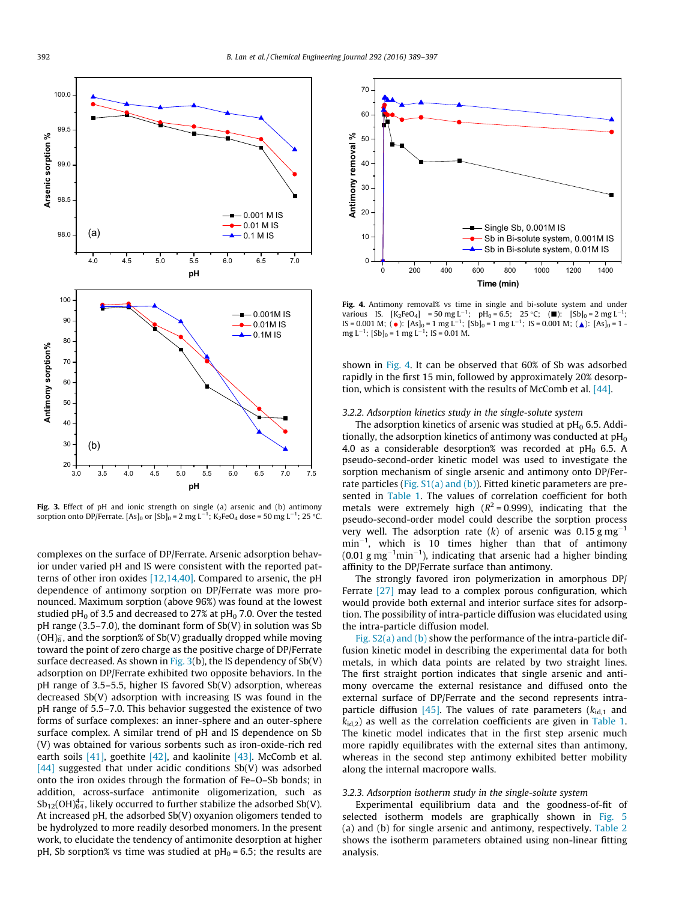<span id="page-3-0"></span>

Fig. 3. Effect of pH and ionic strength on single (a) arsenic and (b) antimony sorption onto DP/Ferrate. [As] $_0$  or [Sb] $_0$  = 2 mg L $^{-1}$ ; K $_2$ FeO $_4$  dose = 50 mg L $^{-1}$ ; 25 °C.

complexes on the surface of DP/Ferrate. Arsenic adsorption behavior under varied pH and IS were consistent with the reported patterns of other iron oxides [\[12,14,40\]](#page-7-0). Compared to arsenic, the pH dependence of antimony sorption on DP/Ferrate was more pronounced. Maximum sorption (above 96%) was found at the lowest studied pH $_0$  of 3.5 and decreased to 27% at pH $_0$  7.0. Over the tested pH range  $(3.5-7.0)$ , the dominant form of Sb $(V)$  in solution was Sb (OH) $_6^-$ , and the sorption% of Sb(V) gradually dropped while moving toward the point of zero charge as the positive charge of DP/Ferrate surface decreased. As shown in Fig.  $3(b)$ , the IS dependency of Sb(V) adsorption on DP/Ferrate exhibited two opposite behaviors. In the pH range of 3.5–5.5, higher IS favored Sb(V) adsorption, whereas decreased Sb(V) adsorption with increasing IS was found in the pH range of 5.5–7.0. This behavior suggested the existence of two forms of surface complexes: an inner-sphere and an outer-sphere surface complex. A similar trend of pH and IS dependence on Sb (V) was obtained for various sorbents such as iron-oxide-rich red earth soils [\[41\],](#page-8-0) goethite [\[42\]](#page-8-0), and kaolinite [\[43\].](#page-8-0) McComb et al. [\[44\]](#page-8-0) suggested that under acidic conditions  $Sb(V)$  was adsorbed onto the iron oxides through the formation of Fe–O–Sb bonds; in addition, across-surface antimonite oligomerization, such as  $\mathrm{Sb}_{12}(\mathrm{OH})_{64}^{4-}$ , likely occurred to further stabilize the adsorbed Sb(V). At increased pH, the adsorbed Sb(V) oxyanion oligomers tended to be hydrolyzed to more readily desorbed monomers. In the present work, to elucidate the tendency of antimonite desorption at higher pH, Sb sorption% vs time was studied at  $pH_0 = 6.5$ ; the results are



Fig. 4. Antimony removal% vs time in single and bi-solute system and under various IS.  $[K_2FeO_4] = 50 \text{ mg } L^{-1}$ ;  $ph_0 = 6.5$ ;  $25 °C$ ; ( $\blacksquare$ ):  $[Sb]_0 = 2 \text{ mg } L^{-1}$ ;<br>IS = 0.001 M; ( $\spadesuit$ ):  $[As]_0 = 1 \text{ mg } L^{-1}$ ;  $[Sb]_0 = 1 \text{ mg } L^{-1}$ ;  $[S = 0.001 \text{ M}$ ; ( $\spadesuit$ ):  $[As]_0 = 1$  -<br>mg L<sup>-1</sup>;  $[Sb]_0 = 1 \text{ mg$ 

shown in Fig. 4. It can be observed that 60% of Sb was adsorbed rapidly in the first 15 min, followed by approximately 20% desorption, which is consistent with the results of McComb et al. [\[44\]](#page-8-0).

#### 3.2.2. Adsorption kinetics study in the single-solute system

The adsorption kinetics of arsenic was studied at  $pH_0$  6.5. Additionally, the adsorption kinetics of antimony was conducted at  $pH_0$ 4.0 as a considerable desorption% was recorded at  $pH_0$  6.5. A pseudo-second-order kinetic model was used to investigate the sorption mechanism of single arsenic and antimony onto DP/Ferrate particles (Fig.  $S1(a)$  and (b)). Fitted kinetic parameters are presented in [Table 1.](#page-4-0) The values of correlation coefficient for both metals were extremely high  $(R^2 = 0.999)$ , indicating that the pseudo-second-order model could describe the sorption process very well. The adsorption rate (k) of arsenic was 0.15 g mg<sup>-1</sup>  $min^{-1}$ , which is 10 times higher than that of antimony  $(0.01 \text{ g mg}^{-1} \text{min}^{-1})$ , indicating that arsenic had a higher binding affinity to the DP/Ferrate surface than antimony.

The strongly favored iron polymerization in amorphous DP/ Ferrate [\[27\]](#page-7-0) may lead to a complex porous configuration, which would provide both external and interior surface sites for adsorption. The possibility of intra-particle diffusion was elucidated using the intra-particle diffusion model.

Fig. S2(a) and (b) show the performance of the intra-particle diffusion kinetic model in describing the experimental data for both metals, in which data points are related by two straight lines. The first straight portion indicates that single arsenic and antimony overcame the external resistance and diffused onto the external surface of DP/Ferrate and the second represents intra-particle diffusion [\[45\]](#page-8-0). The values of rate parameters ( $k_{id,1}$  and  $k_{\text{id},2}$ ) as well as the correlation coefficients are given in [Table 1.](#page-4-0) The kinetic model indicates that in the first step arsenic much more rapidly equilibrates with the external sites than antimony, whereas in the second step antimony exhibited better mobility along the internal macropore walls.

#### 3.2.3. Adsorption isotherm study in the single-solute system

Experimental equilibrium data and the goodness-of-fit of selected isotherm models are graphically shown in [Fig. 5](#page-4-0) (a) and (b) for single arsenic and antimony, respectively. [Table 2](#page-4-0) shows the isotherm parameters obtained using non-linear fitting analysis.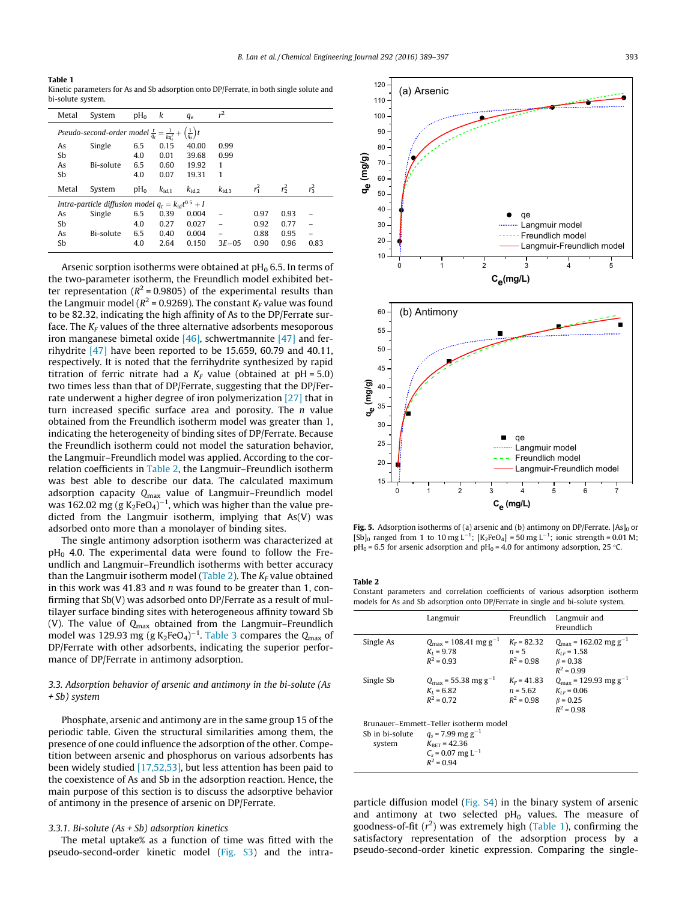<span id="page-4-0"></span>Table 1 Kinetic parameters for As and Sb adsorption onto DP/Ferrate, in both single solute and bi-solute system.

| Metal                                                                                      | System    | $pH_0$ | k              | $q_e$             | r <sup>2</sup>    |         |         |         |  |
|--------------------------------------------------------------------------------------------|-----------|--------|----------------|-------------------|-------------------|---------|---------|---------|--|
| Pseudo-second-order model $\frac{t}{q_t} = \frac{1}{kq_e^2} + \left(\frac{1}{q_e}\right)t$ |           |        |                |                   |                   |         |         |         |  |
| As                                                                                         | Single    | 6.5    | 0.15           | 40.00             | 0.99              |         |         |         |  |
| Sb                                                                                         |           | 4.0    | 0.01           | 39.68             | 0.99              |         |         |         |  |
| As                                                                                         | Bi-solute | 6.5    | 0.60           | 19.92             | 1                 |         |         |         |  |
| Sb                                                                                         |           | 4.0    | 0.07           | 19.31             | 1                 |         |         |         |  |
| Metal                                                                                      | System    | $pH_0$ | $k_{\rm id,1}$ | $k_{\text{id},2}$ | $k_{\text{id},3}$ | $r_1^2$ | $r_2^2$ | $r_3^2$ |  |
| Intra-particle diffusion model $q_t = k_{id}t^{0.5} + I$                                   |           |        |                |                   |                   |         |         |         |  |
| As                                                                                         | Single    | 6.5    | 0.39           | 0.004             |                   | 0.97    | 0.93    |         |  |
| Sb                                                                                         |           | 4.0    | 0.27           | 0.027             |                   | 0.92    | 0.77    |         |  |
| As                                                                                         | Bi-solute | 6.5    | 0.40           | 0.004             |                   | 0.88    | 0.95    |         |  |
| Sb                                                                                         |           | 4.0    | 2.64           | 0.150             | $3E-0.5$          | 0.90    | 0.96    | 0.83    |  |

Arsenic sorption isotherms were obtained at  $pH_0$  6.5. In terms of the two-parameter isotherm, the Freundlich model exhibited better representation ( $R^2$  = 0.9805) of the experimental results than the Langmuir model ( $R^2$  = 0.9269). The constant  $K_F$  value was found to be 82.32, indicating the high affinity of As to the DP/Ferrate surface. The  $K_F$  values of the three alternative adsorbents mesoporous iron manganese bimetal oxide  $[46]$ , schwertmannite  $[47]$  and ferrihydrite  $[47]$  have been reported to be 15.659, 60.79 and 40.11, respectively. It is noted that the ferrihydrite synthesized by rapid titration of ferric nitrate had a  $K_F$  value (obtained at  $pH = 5.0$ ) two times less than that of DP/Ferrate, suggesting that the DP/Ferrate underwent a higher degree of iron polymerization [\[27\]](#page-7-0) that in turn increased specific surface area and porosity. The  $n$  value obtained from the Freundlich isotherm model was greater than 1, indicating the heterogeneity of binding sites of DP/Ferrate. Because the Freundlich isotherm could not model the saturation behavior, the Langmuir–Freundlich model was applied. According to the correlation coefficients in Table 2, the Langmuir–Freundlich isotherm was best able to describe our data. The calculated maximum adsorption capacity  $Q_{\text{max}}$  value of Langmuir–Freundlich model was 162.02 mg (g K<sub>2</sub>FeO<sub>4</sub>)<sup>–1</sup>, which was higher than the value predicted from the Langmuir isotherm, implying that As(V) was adsorbed onto more than a monolayer of binding sites.

The single antimony adsorption isotherm was characterized at  $pH_0$  4.0. The experimental data were found to follow the Freundlich and Langmuir–Freundlich isotherms with better accuracy than the Langmuir isotherm model (Table 2). The  $K_F$  value obtained in this work was 41.83 and  $n$  was found to be greater than 1, confirming that Sb(V) was adsorbed onto DP/Ferrate as a result of multilayer surface binding sites with heterogeneous affinity toward Sb (V). The value of  $Q_{\text{max}}$  obtained from the Langmuir–Freundlich model was 129.93 mg (g K<sub>2</sub>FeO<sub>4</sub>)<sup>-1</sup>. [Table 3](#page-5-0) compares the Q<sub>max</sub> of DP/Ferrate with other adsorbents, indicating the superior performance of DP/Ferrate in antimony adsorption.

#### 3.3. Adsorption behavior of arsenic and antimony in the bi-solute (As + Sb) system

Phosphate, arsenic and antimony are in the same group 15 of the periodic table. Given the structural similarities among them, the presence of one could influence the adsorption of the other. Competition between arsenic and phosphorus on various adsorbents has been widely studied [\[17,52,53\]](#page-7-0), but less attention has been paid to the coexistence of As and Sb in the adsorption reaction. Hence, the main purpose of this section is to discuss the adsorptive behavior of antimony in the presence of arsenic on DP/Ferrate.

#### 3.3.1. Bi-solute ( $As + Sb$ ) adsorption kinetics

The metal uptake% as a function of time was fitted with the pseudo-second-order kinetic model (Fig. S3) and the intra-



Fig. 5. Adsorption isotherms of (a) arsenic and (b) antimony on DP/Ferrate.  $[As]_0$  or [Sb]<sub>0</sub> ranged from 1 to 10 mg L<sup>-1</sup>; [K<sub>2</sub>FeO<sub>4</sub>] = 50 mg L<sup>-1</sup>; ionic strength = 0.01 M;  $pH_0 = 6.5$  for arsenic adsorption and  $pH_0 = 4.0$  for antimony adsorption, 25 °C.

#### Table 2

Constant parameters and correlation coefficients of various adsorption isotherm models for As and Sb adsorption onto DP/Ferrate in single and bi-solute system.

|           | Langmuir                                                                                                                                                                | Freundlich                                  | Langmuir and<br>Freundlich                                                                        |
|-----------|-------------------------------------------------------------------------------------------------------------------------------------------------------------------------|---------------------------------------------|---------------------------------------------------------------------------------------------------|
| Single As | $Q_{\text{max}} = 108.41 \text{ mg g}^{-1}$<br>$K_I = 9.78$<br>$R^2 = 0.93$                                                                                             | $K_F$ = 82.32<br>$n = 5$<br>$R^2 = 0.98$    | $Q_{\text{max}} = 162.02 \text{ mg g}^{-1}$<br>$K_{IF}$ = 1.58<br>$\beta = 0.38$<br>$R^2 = 0.99$  |
| Single Sb | $Q_{\text{max}}$ = 55.38 mg g <sup>-1</sup><br>$K_{I} = 6.82$<br>$R^2 = 0.72$                                                                                           | $K_F = 41.83$<br>$n = 5.62$<br>$R^2 = 0.98$ | $Q_{\text{max}}$ = 129.93 mg g <sup>-1</sup><br>$K_{IF}$ = 0.06<br>$\beta = 0.25$<br>$R^2 = 0.98$ |
| system    | Brunauer-Emmett-Teller isotherm model<br>Sb in bi-solute $q_s = 7.99$ mg g <sup>-1</sup><br>$K_{\text{BFT}}$ = 42.36<br>$C_s$ = 0.07 mg L <sup>-1</sup><br>$R^2 = 0.94$ |                                             |                                                                                                   |

particle diffusion model (Fig. S4) in the binary system of arsenic and antimony at two selected  $pH_0$  values. The measure of goodness-of-fit  $(r^2)$  was extremely high (Table 1), confirming the satisfactory representation of the adsorption process by a pseudo-second-order kinetic expression. Comparing the single-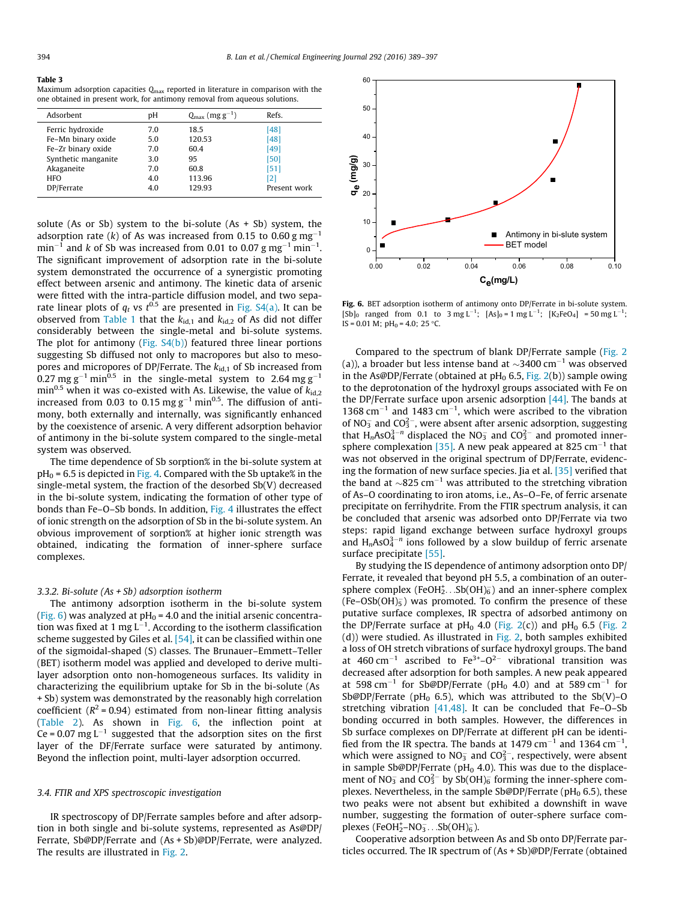#### <span id="page-5-0"></span>Table 3

Maximum adsorption capacities  $Q_{\text{max}}$  reported in literature in comparison with the one obtained in present work, for antimony removal from aqueous solutions.

| Adsorbent           | рH  | $Q_{\text{max}}$ (mg g <sup>-1</sup> ) | Refs.        |
|---------------------|-----|----------------------------------------|--------------|
| Ferric hydroxide    | 7.0 | 18.5                                   | [48]         |
| Fe-Mn binary oxide  | 5.0 | 120.53                                 | [48]         |
| Fe-Zr binary oxide  | 7.0 | 60.4                                   | [49]         |
| Synthetic manganite | 3.0 | 95                                     | [50]         |
| Akaganeite          | 7.0 | 60.8                                   | [51]         |
| <b>HFO</b>          | 4.0 | 113.96                                 | [2]          |
| DP/Ferrate          | 4.0 | 129.93                                 | Present work |

solute (As or Sb) system to the bi-solute (As  $+$  Sb) system, the adsorption rate (k) of As was increased from 0.15 to 0.60 g  $mg^{-1}$  $\mathrm{min}^{-1}$  and  $k$  of Sb was increased from 0.01 to 0.07 g mg $^{-1}$  min $^{-1}.$ The significant improvement of adsorption rate in the bi-solute system demonstrated the occurrence of a synergistic promoting effect between arsenic and antimony. The kinetic data of arsenic were fitted with the intra-particle diffusion model, and two separate linear plots of  $q_t$  vs  $t^{0.5}$  are presented in Fig. S4(a). It can be observed from [Table 1](#page-4-0) that the  $k_{id,1}$  and  $k_{id,2}$  of As did not differ considerably between the single-metal and bi-solute systems. The plot for antimony (Fig. S4(b)) featured three linear portions suggesting Sb diffused not only to macropores but also to mesopores and micropores of DP/Ferrate. The  $k_{\text{id},1}$  of Sb increased from 0.27 mg g<sup>-1</sup> min<sup>0.5</sup> in the single-metal system to 2.64 mg g<sup>-1</sup> min<sup>0.5</sup> when it was co-existed with As. Likewise, the value of  $k_{\text{id},2}$ increased from 0.03 to 0.15 mg  $g^{-1}$  min<sup>0.5</sup>. The diffusion of antimony, both externally and internally, was significantly enhanced by the coexistence of arsenic. A very different adsorption behavior of antimony in the bi-solute system compared to the single-metal system was observed.

The time dependence of Sb sorption% in the bi-solute system at  $pH_0$  = 6.5 is depicted in [Fig. 4](#page-3-0). Compared with the Sb uptake% in the single-metal system, the fraction of the desorbed Sb(V) decreased in the bi-solute system, indicating the formation of other type of bonds than Fe–O–Sb bonds. In addition, [Fig. 4](#page-3-0) illustrates the effect of ionic strength on the adsorption of Sb in the bi-solute system. An obvious improvement of sorption% at higher ionic strength was obtained, indicating the formation of inner-sphere surface complexes.

#### 3.3.2. Bi-solute (As + Sb) adsorption isotherm

The antimony adsorption isotherm in the bi-solute system (Fig. 6) was analyzed at  $pH_0 = 4.0$  and the initial arsenic concentration was fixed at 1 mg L<sup>-1</sup>. According to the isotherm classification scheme suggested by Giles et al. [\[54\],](#page-8-0) it can be classified within one of the sigmoidal-shaped (S) classes. The Brunauer–Emmett–Teller (BET) isotherm model was applied and developed to derive multilayer adsorption onto non-homogeneous surfaces. Its validity in characterizing the equilibrium uptake for Sb in the bi-solute (As + Sb) system was demonstrated by the reasonably high correlation coefficient ( $R^2$  = 0.94) estimated from non-linear fitting analysis ([Table 2](#page-4-0)). As shown in Fig. 6, the inflection point at  $Ce = 0.07$  mg  $L^{-1}$  suggested that the adsorption sites on the first layer of the DF/Ferrate surface were saturated by antimony. Beyond the inflection point, multi-layer adsorption occurred.

#### 3.4. FTIR and XPS spectroscopic investigation

IR spectroscopy of DP/Ferrate samples before and after adsorption in both single and bi-solute systems, represented as As@DP/ Ferrate, Sb@DP/Ferrate and (As + Sb)@DP/Ferrate, were analyzed. The results are illustrated in [Fig. 2.](#page-2-0)



Fig. 6. BET adsorption isotherm of antimony onto DP/Ferrate in bi-solute system.  $[Sb]_0$  ranged from 0.1 to 3 mg L<sup>-1</sup>;  $[As]_0 = 1$  mg L<sup>-1</sup>;  $[K_2FeO_4] = 50$  mg L<sup>-1</sup>;  $IS = 0.01$  M;  $pH_0 = 4.0$ ; 25 °C.

Compared to the spectrum of blank DP/Ferrate sample ([Fig. 2](#page-2-0) (a)), a broader but less intense band at  $\sim$ 3400 cm<sup>-1</sup> was observed in the As@DP/Ferrate (obtained at  $pH_0$  6.5, [Fig. 2\(](#page-2-0)b)) sample owing to the deprotonation of the hydroxyl groups associated with Fe on the DP/Ferrate surface upon arsenic adsorption [\[44\]](#page-8-0). The bands at 1368  $\text{cm}^{-1}$  and 1483  $\text{cm}^{-1}$ , which were ascribed to the vibration of  $NO<sub>3</sub><sup>-</sup>$  and  $CO<sub>3</sub><sup>2</sup>$ , were absent after arsenic adsorption, suggesting that  $H_n$ AsO $_4^{3-n}$  displaced the NO<sub>3</sub> and CO<sub>3</sub><sup>-</sup> and promoted inner-sphere complexation [\[35\]](#page-7-0). A new peak appeared at 825 cm<sup>-1</sup> that was not observed in the original spectrum of DP/Ferrate, evidencing the formation of new surface species. Jia et al. [\[35\]](#page-7-0) verified that the band at  $\sim$ 825 cm<sup>-1</sup> was attributed to the stretching vibration of As–O coordinating to iron atoms, i.e., As–O–Fe, of ferric arsenate precipitate on ferrihydrite. From the FTIR spectrum analysis, it can be concluded that arsenic was adsorbed onto DP/Ferrate via two steps: rapid ligand exchange between surface hydroxyl groups and  $H_n$ AsO $3^{-n}$  ions followed by a slow buildup of ferric arsenate surface precipitate [\[55\]](#page-8-0).

By studying the IS dependence of antimony adsorption onto DP/ Ferrate, it revealed that beyond pH 5.5, a combination of an outersphere complex (FeOH $_2^*$ ...Sb(OH) $_6^-$ ) and an inner-sphere complex  $(Fe-OSb(OH)_{5}^{-})$  was promoted. To confirm the presence of these putative surface complexes, IR spectra of adsorbed antimony on the DP/Ferrate surface at  $pH_0$  4.0 [\(Fig. 2\(](#page-2-0)c)) and  $pH_0$  6.5 [\(Fig. 2](#page-2-0) (d)) were studied. As illustrated in [Fig. 2](#page-2-0), both samples exhibited a loss of OH stretch vibrations of surface hydroxyl groups. The band at 460 cm<sup>-1</sup> ascribed to  $Fe^{3+}-O^{2-}$  vibrational transition was decreased after adsorption for both samples. A new peak appeared at 598 cm<sup>-1</sup> for Sb@DP/Ferrate (pH<sub>0</sub> 4.0) and at 589 cm<sup>-1</sup> for Sb@DP/Ferrate (pH<sub>0</sub> 6.5), which was attributed to the Sb(V)-O stretching vibration  $[41,48]$ . It can be concluded that Fe-O-Sb bonding occurred in both samples. However, the differences in Sb surface complexes on DP/Ferrate at different pH can be identified from the IR spectra. The bands at 1479  $\text{cm}^{-1}$  and 1364  $\text{cm}^{-1}$ , which were assigned to  $NO_3^-$  and  $CO_3^{2-}$ , respectively, were absent in sample Sb@DP/Ferrate ( $pH<sub>0</sub>$  4.0). This was due to the displacement of NO<sub>3</sub> and CO<sub>3</sub><sup>-</sup> by Sb(OH)<sub>6</sub> forming the inner-sphere complexes. Nevertheless, in the sample Sb@DP/Ferrate ( $pH_0$  6.5), these two peaks were not absent but exhibited a downshift in wave number, suggesting the formation of outer-sphere surface complexes (FeOH $_2^+$ -NO $_3^-$ .. Sb(OH) $_6^-$ ).

Cooperative adsorption between As and Sb onto DP/Ferrate particles occurred. The IR spectrum of (As + Sb)@DP/Ferrate (obtained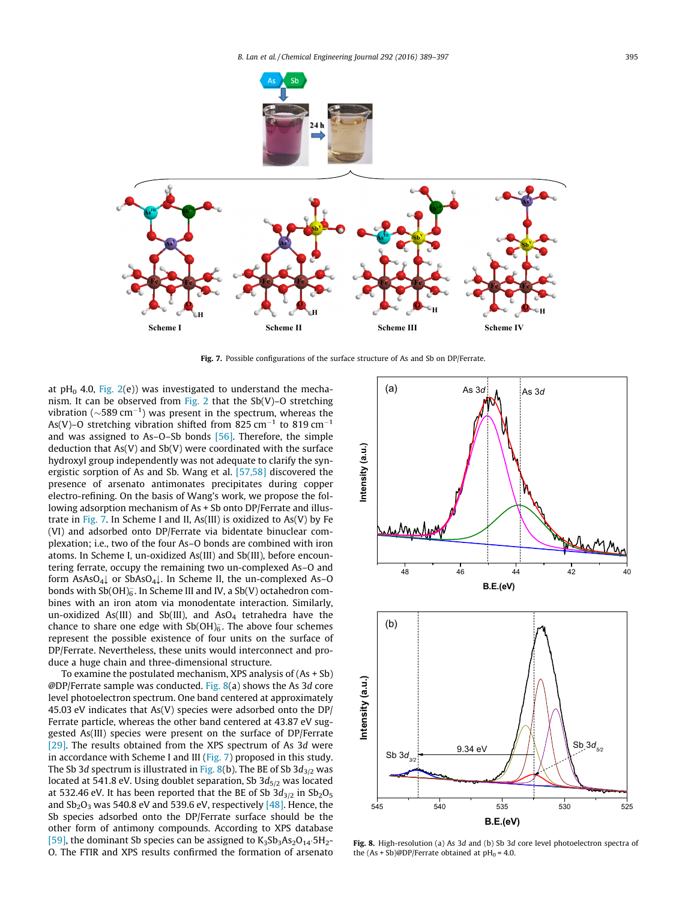

Fig. 7. Possible configurations of the surface structure of As and Sb on DP/Ferrate.

at pH<sub>0</sub> 4.0, Fig.  $2(e)$ ) was investigated to understand the mecha-nism. It can be observed from [Fig. 2](#page-2-0) that the  $Sb(V)-O$  stretching vibration ( $\sim$ 589 cm<sup>-1</sup>) was present in the spectrum, whereas the As(V)-O stretching vibration shifted from 825 cm<sup>-1</sup> to 819 cm<sup>-1</sup> and was assigned to As–O–Sb bonds [\[56\]](#page-8-0). Therefore, the simple deduction that As(V) and Sb(V) were coordinated with the surface hydroxyl group independently was not adequate to clarify the synergistic sorption of As and Sb. Wang et al. [\[57,58\]](#page-8-0) discovered the presence of arsenato antimonates precipitates during copper electro-refining. On the basis of Wang's work, we propose the following adsorption mechanism of As + Sb onto DP/Ferrate and illustrate in Fig. 7. In Scheme I and II, As(III) is oxidized to As(V) by Fe (VI) and adsorbed onto DP/Ferrate via bidentate binuclear complexation; i.e., two of the four As–O bonds are combined with iron atoms. In Scheme I, un-oxidized As(III) and Sb(III), before encountering ferrate, occupy the remaining two un-complexed As–O and form  $AsAsO<sub>4</sub>$  or  $ShAsO<sub>4</sub>$ . In Scheme II, the un-complexed As-O bonds with Sb(OH) $_6^-$ . In Scheme III and IV, a Sb(V) octahedron combines with an iron atom via monodentate interaction. Similarly, un-oxidized As(III) and Sb(III), and AsO<sub>4</sub> tetrahedra have the chance to share one edge with Sb(OH) $_6^-$ . The above four schemes represent the possible existence of four units on the surface of DP/Ferrate. Nevertheless, these units would interconnect and produce a huge chain and three-dimensional structure.

To examine the postulated mechanism, XPS analysis of (As + Sb) @DP/Ferrate sample was conducted. Fig. 8(a) shows the As 3d core level photoelectron spectrum. One band centered at approximately 45.03 eV indicates that As(V) species were adsorbed onto the DP/ Ferrate particle, whereas the other band centered at 43.87 eV suggested As(III) species were present on the surface of DP/Ferrate [\[29\].](#page-7-0) The results obtained from the XPS spectrum of As 3d were in accordance with Scheme I and III (Fig. 7) proposed in this study. The Sb 3d spectrum is illustrated in Fig. 8(b). The BE of Sb  $3d_{3/2}$  was located at 541.8 eV. Using doublet separation, Sb  $3d_{5/2}$  was located at 532.46 eV. It has been reported that the BE of Sb  $3d_{3/2}$  in  $Sb_2O_5$ and  $Sb_2O_3$  was 540.8 eV and 539.6 eV, respectively  $[48]$ . Hence, the Sb species adsorbed onto the DP/Ferrate surface should be the other form of antimony compounds. According to XPS database [\[59\],](#page-8-0) the dominant Sb species can be assigned to  $K_3Sb_3As_2O_{14}5H_2-$ O. The FTIR and XPS results confirmed the formation of arsenato



Fig. 8. High-resolution (a) As 3d and (b) Sb 3d core level photoelectron spectra of the  $(As + Sb)@DP/$ Ferrate obtained at  $pH_0 = 4.0$ .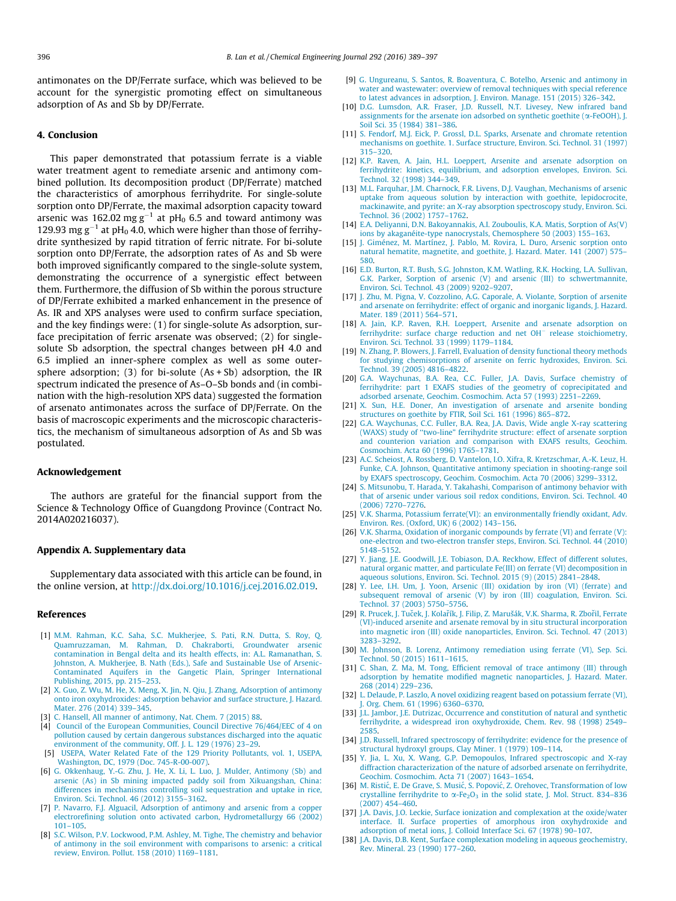<span id="page-7-0"></span>antimonates on the DP/Ferrate surface, which was believed to be account for the synergistic promoting effect on simultaneous adsorption of As and Sb by DP/Ferrate.

#### 4. Conclusion

This paper demonstrated that potassium ferrate is a viable water treatment agent to remediate arsenic and antimony combined pollution. Its decomposition product (DP/Ferrate) matched the characteristics of amorphous ferrihydrite. For single-solute sorption onto DP/Ferrate, the maximal adsorption capacity toward arsenic was 162.02 mg  $g^{-1}$  at pH<sub>0</sub> 6.5 and toward antimony was 129.93 mg  $g^{-1}$  at pH<sub>0</sub> 4.0, which were higher than those of ferrihydrite synthesized by rapid titration of ferric nitrate. For bi-solute sorption onto DP/Ferrate, the adsorption rates of As and Sb were both improved significantly compared to the single-solute system, demonstrating the occurrence of a synergistic effect between them. Furthermore, the diffusion of Sb within the porous structure of DP/Ferrate exhibited a marked enhancement in the presence of As. IR and XPS analyses were used to confirm surface speciation, and the key findings were: (1) for single-solute As adsorption, surface precipitation of ferric arsenate was observed; (2) for singlesolute Sb adsorption, the spectral changes between pH 4.0 and 6.5 implied an inner-sphere complex as well as some outersphere adsorption; (3) for bi-solute  $(As + Sb)$  adsorption, the IR spectrum indicated the presence of As–O–Sb bonds and (in combination with the high-resolution XPS data) suggested the formation of arsenato antimonates across the surface of DP/Ferrate. On the basis of macroscopic experiments and the microscopic characteristics, the mechanism of simultaneous adsorption of As and Sb was postulated.

#### Acknowledgement

The authors are grateful for the financial support from the Science & Technology Office of Guangdong Province (Contract No. 2014A020216037).

#### Appendix A. Supplementary data

Supplementary data associated with this article can be found, in the online version, at [http://dx.doi.org/10.1016/j.cej.2016.02.019.](http://dx.doi.org/10.1016/j.cej.2016.02.019)

#### References

- [1] [M.M. Rahman, K.C. Saha, S.C. Mukherjee, S. Pati, R.N. Dutta, S. Roy, Q.](http://refhub.elsevier.com/S1385-8947(16)30101-2/h0005) [Quamruzzaman, M. Rahman, D. Chakraborti, Groundwater arsenic](http://refhub.elsevier.com/S1385-8947(16)30101-2/h0005) [contamination in Bengal delta and its health effects, in: A.L. Ramanathan, S.](http://refhub.elsevier.com/S1385-8947(16)30101-2/h0005) [Johnston, A. Mukherjee, B. Nath \(Eds.\), Safe and Sustainable Use of Arsenic-](http://refhub.elsevier.com/S1385-8947(16)30101-2/h0005)[Contaminated Aquifers in the Gangetic Plain, Springer International](http://refhub.elsevier.com/S1385-8947(16)30101-2/h0005) [Publishing, 2015, pp. 215–253](http://refhub.elsevier.com/S1385-8947(16)30101-2/h0005).
- [2] [X. Guo, Z. Wu, M. He, X. Meng, X. Jin, N. Qiu, J. Zhang, Adsorption of antimony](http://refhub.elsevier.com/S1385-8947(16)30101-2/h0010) [onto iron oxyhydroxides: adsorption behavior and surface structure, J. Hazard.](http://refhub.elsevier.com/S1385-8947(16)30101-2/h0010) [Mater. 276 \(2014\) 339–345.](http://refhub.elsevier.com/S1385-8947(16)30101-2/h0010)
- [3] [C. Hansell, All manner of antimony, Nat. Chem. 7 \(2015\) 88](http://refhub.elsevier.com/S1385-8947(16)30101-2/h0015).
- [4] [Council of the European Communities, Council Directive 76/464/EEC of 4 on](http://refhub.elsevier.com/S1385-8947(16)30101-2/h0020) [pollution caused by certain dangerous substances discharged into the aquatic](http://refhub.elsevier.com/S1385-8947(16)30101-2/h0020) [environment of the community, Off. J. L. 129 \(1976\) 23–29.](http://refhub.elsevier.com/S1385-8947(16)30101-2/h0020)
- [5] [USEPA, Water Related Fate of the 129 Priority Pollutants, vol. 1, USEPA,](http://refhub.elsevier.com/S1385-8947(16)30101-2/h0025) [Washington, DC, 1979 \(Doc. 745-R-00-007\)](http://refhub.elsevier.com/S1385-8947(16)30101-2/h0025).
- [6] [G. Okkenhaug, Y.-G. Zhu, J. He, X. Li, L. Luo, J. Mulder, Antimony \(Sb\) and](http://refhub.elsevier.com/S1385-8947(16)30101-2/h0030) [arsenic \(As\) in Sb mining impacted paddy soil from Xikuangshan, China:](http://refhub.elsevier.com/S1385-8947(16)30101-2/h0030) [differences in mechanisms controlling soil sequestration and uptake in rice,](http://refhub.elsevier.com/S1385-8947(16)30101-2/h0030) [Environ. Sci. Technol. 46 \(2012\) 3155–3162.](http://refhub.elsevier.com/S1385-8947(16)30101-2/h0030)
- [7] [P. Navarro, F.J. Alguacil, Adsorption of antimony and arsenic from a copper](http://refhub.elsevier.com/S1385-8947(16)30101-2/h0035) [electrorefining solution onto activated carbon, Hydrometallurgy 66 \(2002\)](http://refhub.elsevier.com/S1385-8947(16)30101-2/h0035) [101–105](http://refhub.elsevier.com/S1385-8947(16)30101-2/h0035).
- [8] [S.C. Wilson, P.V. Lockwood, P.M. Ashley, M. Tighe, The chemistry and behavior](http://refhub.elsevier.com/S1385-8947(16)30101-2/h0040) [of antimony in the soil environment with comparisons to arsenic: a critical](http://refhub.elsevier.com/S1385-8947(16)30101-2/h0040) [review, Environ. Pollut. 158 \(2010\) 1169–1181](http://refhub.elsevier.com/S1385-8947(16)30101-2/h0040).
- [9] [G. Ungureanu, S. Santos, R. Boaventura, C. Botelho, Arsenic and antimony in](http://refhub.elsevier.com/S1385-8947(16)30101-2/h0045) [water and wastewater: overview of removal techniques with special reference](http://refhub.elsevier.com/S1385-8947(16)30101-2/h0045) [to latest advances in adsorption, J. Environ. Manage. 151 \(2015\) 326–342.](http://refhub.elsevier.com/S1385-8947(16)30101-2/h0045)
- [10] [D.G. Lumsdon, A.R. Fraser, J.D. Russell, N.T. Livesey, New infrared band](http://refhub.elsevier.com/S1385-8947(16)30101-2/h0050) [assignments for the arsenate ion adsorbed on synthetic goethite \(](http://refhub.elsevier.com/S1385-8947(16)30101-2/h0050)a-FeOOH), J. [Soil Sci. 35 \(1984\) 381–386](http://refhub.elsevier.com/S1385-8947(16)30101-2/h0050).
- [11] [S. Fendorf, M.J. Eick, P. Grossl, D.L. Sparks, Arsenate and chromate retention](http://refhub.elsevier.com/S1385-8947(16)30101-2/h0055) [mechanisms on goethite. 1. Surface structure, Environ. Sci. Technol. 31 \(1997\)](http://refhub.elsevier.com/S1385-8947(16)30101-2/h0055) [315–320.](http://refhub.elsevier.com/S1385-8947(16)30101-2/h0055)
- [12] [K.P. Raven, A. Jain, H.L. Loeppert, Arsenite and arsenate adsorption on](http://refhub.elsevier.com/S1385-8947(16)30101-2/h0060) [ferrihydrite: kinetics, equilibrium, and adsorption envelopes, Environ. Sci.](http://refhub.elsevier.com/S1385-8947(16)30101-2/h0060) [Technol. 32 \(1998\) 344–349](http://refhub.elsevier.com/S1385-8947(16)30101-2/h0060).
- [13] [M.L. Farquhar, J.M. Charnock, F.R. Livens, D.J. Vaughan, Mechanisms of arsenic](http://refhub.elsevier.com/S1385-8947(16)30101-2/h0065) [uptake from aqueous solution by interaction with goethite, lepidocrocite,](http://refhub.elsevier.com/S1385-8947(16)30101-2/h0065) [mackinawite, and pyrite: an X-ray absorption spectroscopy study, Environ. Sci.](http://refhub.elsevier.com/S1385-8947(16)30101-2/h0065) [Technol. 36 \(2002\) 1757–1762](http://refhub.elsevier.com/S1385-8947(16)30101-2/h0065).
- [14] [E.A. Deliyanni, D.N. Bakoyannakis, A.I. Zouboulis, K.A. Matis, Sorption of As\(V\)](http://refhub.elsevier.com/S1385-8947(16)30101-2/h0070) [ions by akaganéite-type nanocrystals, Chemosphere 50 \(2003\) 155–163.](http://refhub.elsevier.com/S1385-8947(16)30101-2/h0070)
- [15] [J. Giménez, M. Martínez, J. Pablo, M. Rovira, L. Duro, Arsenic sorption onto](http://refhub.elsevier.com/S1385-8947(16)30101-2/h0075) [natural hematite, magnetite, and goethite, J. Hazard. Mater. 141 \(2007\) 575–](http://refhub.elsevier.com/S1385-8947(16)30101-2/h0075) [580.](http://refhub.elsevier.com/S1385-8947(16)30101-2/h0075)
- [16] [E.D. Burton, R.T. Bush, S.G. Johnston, K.M. Watling, R.K. Hocking, L.A. Sullivan,](http://refhub.elsevier.com/S1385-8947(16)30101-2/h0080) [G.K. Parker, Sorption of arsenic \(V\) and arsenic \(III\) to schwertmannite,](http://refhub.elsevier.com/S1385-8947(16)30101-2/h0080) [Environ. Sci. Technol. 43 \(2009\) 9202–9207](http://refhub.elsevier.com/S1385-8947(16)30101-2/h0080).
- [17] [J. Zhu, M. Pigna, V. Cozzolino, A.G. Caporale, A. Violante, Sorption of arsenite](http://refhub.elsevier.com/S1385-8947(16)30101-2/h0085) [and arsenate on ferrihydrite: effect of organic and inorganic ligands, J. Hazard.](http://refhub.elsevier.com/S1385-8947(16)30101-2/h0085) [Mater. 189 \(2011\) 564–571](http://refhub.elsevier.com/S1385-8947(16)30101-2/h0085).
- [18] [A. Jain, K.P. Raven, R.H. Loeppert, Arsenite and arsenate adsorption on](http://refhub.elsevier.com/S1385-8947(16)30101-2/h0090) [ferrihydrite:](http://refhub.elsevier.com/S1385-8947(16)30101-2/h0090) [surface](http://refhub.elsevier.com/S1385-8947(16)30101-2/h0090) [charge](http://refhub.elsevier.com/S1385-8947(16)30101-2/h0090) [reduction](http://refhub.elsevier.com/S1385-8947(16)30101-2/h0090) [and](http://refhub.elsevier.com/S1385-8947(16)30101-2/h0090) [net](http://refhub.elsevier.com/S1385-8947(16)30101-2/h0090) [OH](http://refhub.elsevier.com/S1385-8947(16)30101-2/h0090)<sup>-</sup> [release stoichiometry,](http://refhub.elsevier.com/S1385-8947(16)30101-2/h0090) [Environ. Sci. Technol. 33 \(1999\) 1179–1184](http://refhub.elsevier.com/S1385-8947(16)30101-2/h0090).
- [19] [N. Zhang, P. Blowers, J. Farrell, Evaluation of density functional theory methods](http://refhub.elsevier.com/S1385-8947(16)30101-2/h0095) [for studying chemisorptions of arsenite on ferric hydroxides, Environ. Sci.](http://refhub.elsevier.com/S1385-8947(16)30101-2/h0095) [Technol. 39 \(2005\) 4816–4822](http://refhub.elsevier.com/S1385-8947(16)30101-2/h0095).
- [20] [G.A. Waychunas, B.A. Rea, C.C. Fuller, J.A. Davis, Surface chemistry of](http://refhub.elsevier.com/S1385-8947(16)30101-2/h0100) [ferrihydrite: part 1 EXAFS studies of the geometry of coprecipitated and](http://refhub.elsevier.com/S1385-8947(16)30101-2/h0100) [adsorbed arsenate, Geochim. Cosmochim. Acta 57 \(1993\) 2251–2269.](http://refhub.elsevier.com/S1385-8947(16)30101-2/h0100)
- [21] [X. Sun, H.E. Doner, An investigation of arsenate and arsenite bonding](http://refhub.elsevier.com/S1385-8947(16)30101-2/h0105) [structures on goethite by FTIR, Soil Sci. 161 \(1996\) 865–872.](http://refhub.elsevier.com/S1385-8947(16)30101-2/h0105)
- [22] [G.A. Waychunas, C.C. Fuller, B.A. Rea, J.A. Davis, Wide angle X-ray scattering](http://refhub.elsevier.com/S1385-8947(16)30101-2/h0110) [\(WAXS\) study of ''two-line" ferrihydrite structure: effect of arsenate sorption](http://refhub.elsevier.com/S1385-8947(16)30101-2/h0110) [and counterion variation and comparison with EXAFS results, Geochim.](http://refhub.elsevier.com/S1385-8947(16)30101-2/h0110) [Cosmochim. Acta 60 \(1996\) 1765–1781](http://refhub.elsevier.com/S1385-8947(16)30101-2/h0110).
- [23] [A.C. Scheiost, A. Rossberg, D. Vantelon, I.O. Xifra, R. Kretzschmar, A.-K. Leuz, H.](http://refhub.elsevier.com/S1385-8947(16)30101-2/h0115) [Funke, C.A. Johnson, Quantitative antimony speciation in shooting-range soil](http://refhub.elsevier.com/S1385-8947(16)30101-2/h0115) [by EXAFS spectroscopy, Geochim. Cosmochim. Acta 70 \(2006\) 3299–3312](http://refhub.elsevier.com/S1385-8947(16)30101-2/h0115).
- [24] [S. Mitsunobu, T. Harada, Y. Takahashi, Comparison of antimony behavior with](http://refhub.elsevier.com/S1385-8947(16)30101-2/h0120) [that of arsenic under various soil redox conditions, Environ. Sci. Technol. 40](http://refhub.elsevier.com/S1385-8947(16)30101-2/h0120) [\(2006\) 7270–7276.](http://refhub.elsevier.com/S1385-8947(16)30101-2/h0120)
- [25] [V.K. Sharma, Potassium ferrate\(VI\): an environmentally friendly oxidant, Adv.](http://refhub.elsevier.com/S1385-8947(16)30101-2/h0125) [Environ. Res. \(Oxford, UK\) 6 \(2002\) 143–156](http://refhub.elsevier.com/S1385-8947(16)30101-2/h0125).
- [26] [V.K. Sharma, Oxidation of inorganic compounds by ferrate \(VI\) and ferrate \(V\):](http://refhub.elsevier.com/S1385-8947(16)30101-2/h0130) [one-electron and two-electron transfer steps, Environ. Sci. Technol. 44 \(2010\)](http://refhub.elsevier.com/S1385-8947(16)30101-2/h0130) [5148–5152.](http://refhub.elsevier.com/S1385-8947(16)30101-2/h0130)
- [27] [Y. Jiang, J.E. Goodwill, J.E. Tobiason, D.A. Reckhow, Effect of different solutes,](http://refhub.elsevier.com/S1385-8947(16)30101-2/h0135) [natural organic matter, and particulate Fe\(III\) on ferrate \(VI\) decomposition in](http://refhub.elsevier.com/S1385-8947(16)30101-2/h0135) [aqueous solutions, Environ. Sci. Technol. 2015 \(9\) \(2015\) 2841–2848](http://refhub.elsevier.com/S1385-8947(16)30101-2/h0135).
- [28] [Y. Lee, I.H. Um, J. Yoon, Arsenic \(III\) oxidation by iron \(VI\) \(ferrate\) and](http://refhub.elsevier.com/S1385-8947(16)30101-2/h0140) [subsequent removal of arsenic \(V\) by iron \(III\) coagulation, Environ. Sci.](http://refhub.elsevier.com/S1385-8947(16)30101-2/h0140) [Technol. 37 \(2003\) 5750–5756.](http://refhub.elsevier.com/S1385-8947(16)30101-2/h0140)
- [29] R. Prucek, J. Tuček, J. Kolařík, J. Filip, Z. Marušák, V.K. Sharma, R. Zbořil, Ferrate [\(VI\)-induced arsenite and arsenate removal by in situ structural incorporation](http://refhub.elsevier.com/S1385-8947(16)30101-2/h0145) [into magnetic iron \(III\) oxide nanoparticles, Environ. Sci. Technol. 47 \(2013\)](http://refhub.elsevier.com/S1385-8947(16)30101-2/h0145) [3283–3292.](http://refhub.elsevier.com/S1385-8947(16)30101-2/h0145)
- [30] [M. Johnson, B. Lorenz, Antimony remediation using ferrate \(VI\), Sep. Sci.](http://refhub.elsevier.com/S1385-8947(16)30101-2/h0150) [Technol. 50 \(2015\) 1611–1615.](http://refhub.elsevier.com/S1385-8947(16)30101-2/h0150)
- [31] [C. Shan, Z. Ma, M. Tong, Efficient removal of trace antimony \(III\) through](http://refhub.elsevier.com/S1385-8947(16)30101-2/h0155) [adsorption by hematite modified magnetic nanoparticles, J. Hazard. Mater.](http://refhub.elsevier.com/S1385-8947(16)30101-2/h0155) [268 \(2014\) 229–236.](http://refhub.elsevier.com/S1385-8947(16)30101-2/h0155)
- [32] [L. Delaude, P. Laszlo, A novel oxidizing reagent based on potassium ferrate \(VI\),](http://refhub.elsevier.com/S1385-8947(16)30101-2/h0160) [J. Org. Chem. 61 \(1996\) 6360–6370.](http://refhub.elsevier.com/S1385-8947(16)30101-2/h0160)
- [33] [J.L. Jambor, J.E. Dutrizac, Occurrence and constitution of natural and synthetic](http://refhub.elsevier.com/S1385-8947(16)30101-2/h0165) [ferrihydrite, a widespread iron oxyhydroxide, Chem. Rev. 98 \(1998\) 2549–](http://refhub.elsevier.com/S1385-8947(16)30101-2/h0165) [2585.](http://refhub.elsevier.com/S1385-8947(16)30101-2/h0165)
- [34] [J.D. Russell, Infrared spectroscopy of ferrihydrite: evidence for the presence of](http://refhub.elsevier.com/S1385-8947(16)30101-2/h0170) [structural hydroxyl groups, Clay Miner. 1 \(1979\) 109–114](http://refhub.elsevier.com/S1385-8947(16)30101-2/h0170).
- [35] [Y. Jia, L. Xu, X. Wang, G.P. Demopoulos, Infrared spectroscopic and X-ray](http://refhub.elsevier.com/S1385-8947(16)30101-2/h0175) [diffraction characterization of the nature of adsorbed arsenate on ferrihydrite,](http://refhub.elsevier.com/S1385-8947(16)30101-2/h0175) [Geochim. Cosmochim. Acta 71 \(2007\) 1643–1654.](http://refhub.elsevier.com/S1385-8947(16)30101-2/h0175)
- [36] M. Ristić, E. De Grave, S. Musić, S. Popović, Z. Orehovec, Transformation of low [crystalline ferrihydrite to](http://refhub.elsevier.com/S1385-8947(16)30101-2/h0180)  $\alpha$ -Fe<sub>2</sub>O<sub>3</sub> [in the solid state, J. Mol. Struct. 834–836](http://refhub.elsevier.com/S1385-8947(16)30101-2/h0180) [\(2007\) 454–460](http://refhub.elsevier.com/S1385-8947(16)30101-2/h0180).
- [37] [J.A. Davis, J.O. Leckie, Surface ionization and complexation at the oxide/water](http://refhub.elsevier.com/S1385-8947(16)30101-2/h0185) [interface. II. Surface properties of amorphous iron oxyhydroxide and](http://refhub.elsevier.com/S1385-8947(16)30101-2/h0185) [adsorption of metal ions, J. Colloid Interface Sci. 67 \(1978\) 90–107](http://refhub.elsevier.com/S1385-8947(16)30101-2/h0185).
- [38] [J.A. Davis, D.B. Kent, Surface complexation modeling in aqueous geochemistry,](http://refhub.elsevier.com/S1385-8947(16)30101-2/h0190) [Rev. Mineral. 23 \(1990\) 177–260.](http://refhub.elsevier.com/S1385-8947(16)30101-2/h0190)